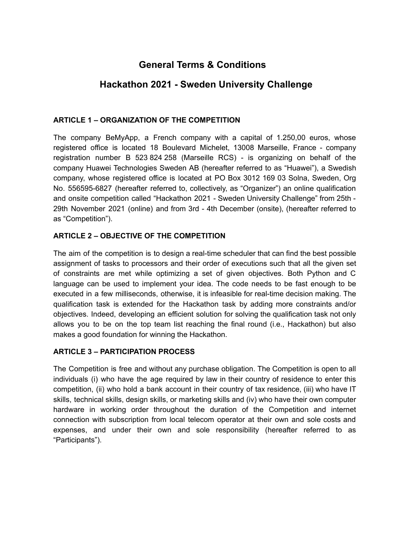# **General Terms & Conditions**

# **Hackathon 2021 - Sweden University Challenge**

## **ARTICLE 1 – ORGANIZATION OF THE COMPETITION**

The company BeMyApp, a French company with a capital of 1.250,00 euros, whose registered office is located 18 Boulevard Michelet, 13008 Marseille, France - company registration number B 523 824 258 (Marseille RCS) - is organizing on behalf of the company Huawei Technologies Sweden AB (hereafter referred to as "Huawei"), a Swedish company, whose registered office is located at PO Box 3012 169 03 Solna, Sweden, Org No. 556595-6827 (hereafter referred to, collectively, as "Organizer") an online qualification and onsite competition called "Hackathon 2021 - Sweden University Challenge" from 25th - 29th November 2021 (online) and from 3rd - 4th December (onsite), (hereafter referred to as "Competition").

## **ARTICLE 2 – OBJECTIVE OF THE COMPETITION**

The aim of the competition is to design a real-time scheduler that can find the best possible assignment of tasks to processors and their order of executions such that all the given set of constraints are met while optimizing a set of given objectives. Both Python and C language can be used to implement your idea. The code needs to be fast enough to be executed in a few milliseconds, otherwise, it is infeasible for real-time decision making. The qualification task is extended for the Hackathon task by adding more constraints and/or objectives. Indeed, developing an efficient solution for solving the qualification task not only allows you to be on the top team list reaching the final round (i.e., Hackathon) but also makes a good foundation for winning the Hackathon.

## **ARTICLE 3 – PARTICIPATION PROCESS**

The Competition is free and without any purchase obligation. The Competition is open to all individuals (i) who have the age required by law in their country of residence to enter this competition, (ii) who hold a bank account in their country of tax residence, (iii) who have IT skills, technical skills, design skills, or marketing skills and (iv) who have their own computer hardware in working order throughout the duration of the Competition and internet connection with subscription from local telecom operator at their own and sole costs and expenses, and under their own and sole responsibility (hereafter referred to as "Participants").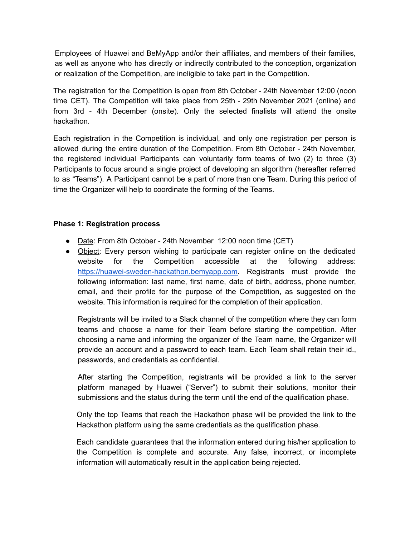Employees of Huawei and BeMyApp and/or their affiliates, and members of their families, as well as anyone who has directly or indirectly contributed to the conception, organization or realization of the Competition, are ineligible to take part in the Competition.

The registration for the Competition is open from 8th October - 24th November 12:00 (noon time CET). The Competition will take place from 25th - 29th November 2021 (online) and from 3rd - 4th December (onsite). Only the selected finalists will attend the onsite hackathon.

Each registration in the Competition is individual, and only one registration per person is allowed during the entire duration of the Competition. From 8th October - 24th November, the registered individual Participants can voluntarily form teams of two (2) to three (3) Participants to focus around a single project of developing an algorithm (hereafter referred to as "Teams"). A Participant cannot be a part of more than one Team. During this period of time the Organizer will help to coordinate the forming of the Teams.

#### **Phase 1: Registration process**

- Date: From 8th October 24th November 12:00 noon time (CET)
- Object: Every person wishing to participate can register online on the dedicated website for the Competition accessible at the following address: [https://huawei-sweden-hackathon.bemyapp.com.](https://huawei-sweden-hackathon.bemyapp.com) Registrants must provide the following information: last name, first name, date of birth, address, phone number, email, and their profile for the purpose of the Competition, as suggested on the website. This information is required for the completion of their application.

Registrants will be invited to a Slack channel of the competition where they can form teams and choose a name for their Team before starting the competition. After choosing a name and informing the organizer of the Team name, the Organizer will provide an account and a password to each team. Each Team shall retain their id., passwords, and credentials as confidential.

After starting the Competition, registrants will be provided a link to the server platform managed by Huawei ("Server") to submit their solutions, monitor their submissions and the status during the term until the end of the qualification phase.

Only the top Teams that reach the Hackathon phase will be provided the link to the Hackathon platform using the same credentials as the qualification phase.

Each candidate guarantees that the information entered during his/her application to the Competition is complete and accurate. Any false, incorrect, or incomplete information will automatically result in the application being rejected.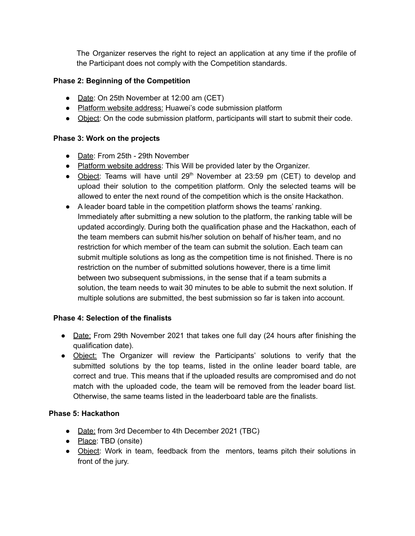The Organizer reserves the right to reject an application at any time if the profile of the Participant does not comply with the Competition standards.

## **Phase 2: Beginning of the Competition**

- Date: On 25th November at 12:00 am (CET)
- Platform website address: Huawei's code submission platform
- Object: On the code submission platform, participants will start to submit their code.

## **Phase 3: Work on the projects**

- Date: From 25th 29th November
- Platform website address: This Will be provided later by the Organizer.
- Object: Teams will have until 29<sup>th</sup> November at 23:59 pm (CET) to develop and upload their solution to the competition platform. Only the selected teams will be allowed to enter the next round of the competition which is the onsite Hackathon.
- A leader board table in the competition platform shows the teams' ranking. Immediately after submitting a new solution to the platform, the ranking table will be updated accordingly. During both the qualification phase and the Hackathon, each of the team members can submit his/her solution on behalf of his/her team, and no restriction for which member of the team can submit the solution. Each team can submit multiple solutions as long as the competition time is not finished. There is no restriction on the number of submitted solutions however, there is a time limit between two subsequent submissions, in the sense that if a team submits a solution, the team needs to wait 30 minutes to be able to submit the next solution. If multiple solutions are submitted, the best submission so far is taken into account.

## **Phase 4: Selection of the finalists**

- Date: From 29th November 2021 that takes one full day (24 hours after finishing the qualification date).
- Object: The Organizer will review the Participants' solutions to verify that the submitted solutions by the top teams, listed in the online leader board table, are correct and true. This means that if the uploaded results are compromised and do not match with the uploaded code, the team will be removed from the leader board list. Otherwise, the same teams listed in the leaderboard table are the finalists.

## **Phase 5: Hackathon**

- **●** Date: from 3rd December to 4th December 2021 (TBC)
- Place: TBD (onsite)
- Object: Work in team, feedback from the mentors, teams pitch their solutions in front of the jury.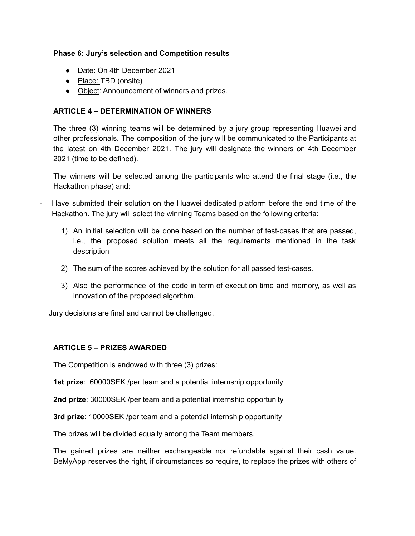#### **Phase 6: Jury's selection and Competition results**

- **●** Date: On 4th December 2021
- Place: TBD (onsite)
- Object: Announcement of winners and prizes.

## **ARTICLE 4 – DETERMINATION OF WINNERS**

The three (3) winning teams will be determined by a jury group representing Huawei and other professionals. The composition of the jury will be communicated to the Participants at the latest on 4th December 2021. The jury will designate the winners on 4th December 2021 (time to be defined).

The winners will be selected among the participants who attend the final stage (i.e., the Hackathon phase) and:

- Have submitted their solution on the Huawei dedicated platform before the end time of the Hackathon. The jury will select the winning Teams based on the following criteria:
	- 1) An initial selection will be done based on the number of test-cases that are passed, i.e., the proposed solution meets all the requirements mentioned in the task description
	- 2) The sum of the scores achieved by the solution for all passed test-cases.
	- 3) Also the performance of the code in term of execution time and memory, as well as innovation of the proposed algorithm.

Jury decisions are final and cannot be challenged.

## **ARTICLE 5 – PRIZES AWARDED**

The Competition is endowed with three (3) prizes:

**1st prize**: 60000SEK /per team and a potential internship opportunity

**2nd prize**: 30000SEK /per team and a potential internship opportunity

**3rd prize**: 10000SEK /per team and a potential internship opportunity

The prizes will be divided equally among the Team members.

The gained prizes are neither exchangeable nor refundable against their cash value. BeMyApp reserves the right, if circumstances so require, to replace the prizes with others of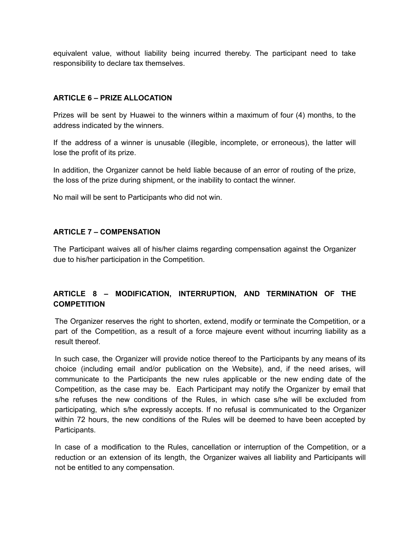equivalent value, without liability being incurred thereby. The participant need to take responsibility to declare tax themselves.

#### **ARTICLE 6 – PRIZE ALLOCATION**

Prizes will be sent by Huawei to the winners within a maximum of four (4) months, to the address indicated by the winners.

If the address of a winner is unusable (illegible, incomplete, or erroneous), the latter will lose the profit of its prize.

In addition, the Organizer cannot be held liable because of an error of routing of the prize, the loss of the prize during shipment, or the inability to contact the winner.

No mail will be sent to Participants who did not win.

#### **ARTICLE 7 – COMPENSATION**

The Participant waives all of his/her claims regarding compensation against the Organizer due to his/her participation in the Competition.

## **ARTICLE 8 – MODIFICATION, INTERRUPTION, AND TERMINATION OF THE COMPETITION**

The Organizer reserves the right to shorten, extend, modify or terminate the Competition, or a part of the Competition, as a result of a force majeure event without incurring liability as a result thereof.

In such case, the Organizer will provide notice thereof to the Participants by any means of its choice (including email and/or publication on the Website), and, if the need arises, will communicate to the Participants the new rules applicable or the new ending date of the Competition, as the case may be. Each Participant may notify the Organizer by email that s/he refuses the new conditions of the Rules, in which case s/he will be excluded from participating, which s/he expressly accepts. If no refusal is communicated to the Organizer within 72 hours, the new conditions of the Rules will be deemed to have been accepted by Participants.

In case of a modification to the Rules, cancellation or interruption of the Competition, or a reduction or an extension of its length, the Organizer waives all liability and Participants will not be entitled to any compensation.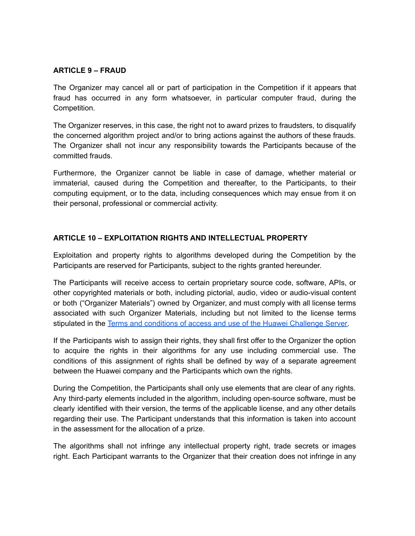## **ARTICLE 9 – FRAUD**

The Organizer may cancel all or part of participation in the Competition if it appears that fraud has occurred in any form whatsoever, in particular computer fraud, during the Competition.

The Organizer reserves, in this case, the right not to award prizes to fraudsters, to disqualify the concerned algorithm project and/or to bring actions against the authors of these frauds. The Organizer shall not incur any responsibility towards the Participants because of the committed frauds.

Furthermore, the Organizer cannot be liable in case of damage, whether material or immaterial, caused during the Competition and thereafter, to the Participants, to their computing equipment, or to the data, including consequences which may ensue from it on their personal, professional or commercial activity.

## **ARTICLE 10 – EXPLOITATION RIGHTS AND INTELLECTUAL PROPERTY**

Exploitation and property rights to algorithms developed during the Competition by the Participants are reserved for Participants, subject to the rights granted hereunder.

The Participants will receive access to certain proprietary source code, software, APIs, or other copyrighted materials or both, including pictorial, audio, video or audio-visual content or both ("Organizer Materials") owned by Organizer, and must comply with all license terms associated with such Organizer Materials, including but not limited to the license terms stipulated in the Terms and conditions of access and use of the Huawei [Challenge](https://drive.google.com/file/d/14M3qzGMI1B4kgVGXQl2PwydYJsoG1RPq/view) Server.

If the Participants wish to assign their rights, they shall first offer to the Organizer the option to acquire the rights in their algorithms for any use including commercial use. The conditions of this assignment of rights shall be defined by way of a separate agreement between the Huawei company and the Participants which own the rights.

During the Competition, the Participants shall only use elements that are clear of any rights. Any third-party elements included in the algorithm, including open-source software, must be clearly identified with their version, the terms of the applicable license, and any other details regarding their use. The Participant understands that this information is taken into account in the assessment for the allocation of a prize.

The algorithms shall not infringe any intellectual property right, trade secrets or images right. Each Participant warrants to the Organizer that their creation does not infringe in any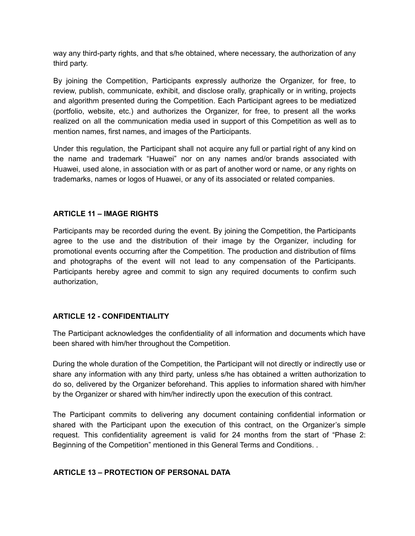way any third-party rights, and that s/he obtained, where necessary, the authorization of any third party.

By joining the Competition, Participants expressly authorize the Organizer, for free, to review, publish, communicate, exhibit, and disclose orally, graphically or in writing, projects and algorithm presented during the Competition. Each Participant agrees to be mediatized (portfolio, website, etc.) and authorizes the Organizer, for free, to present all the works realized on all the communication media used in support of this Competition as well as to mention names, first names, and images of the Participants.

Under this regulation, the Participant shall not acquire any full or partial right of any kind on the name and trademark "Huawei" nor on any names and/or brands associated with Huawei, used alone, in association with or as part of another word or name, or any rights on trademarks, names or logos of Huawei, or any of its associated or related companies.

## **ARTICLE 11 – IMAGE RIGHTS**

Participants may be recorded during the event. By joining the Competition, the Participants agree to the use and the distribution of their image by the Organizer, including for promotional events occurring after the Competition. The production and distribution of films and photographs of the event will not lead to any compensation of the Participants. Participants hereby agree and commit to sign any required documents to confirm such authorization,

# **ARTICLE 12 - CONFIDENTIALITY**

The Participant acknowledges the confidentiality of all information and documents which have been shared with him/her throughout the Competition.

During the whole duration of the Competition, the Participant will not directly or indirectly use or share any information with any third party, unless s/he has obtained a written authorization to do so, delivered by the Organizer beforehand. This applies to information shared with him/her by the Organizer or shared with him/her indirectly upon the execution of this contract.

The Participant commits to delivering any document containing confidential information or shared with the Participant upon the execution of this contract, on the Organizer's simple request. This confidentiality agreement is valid for 24 months from the start of "Phase 2: Beginning of the Competition" mentioned in this General Terms and Conditions. .

## **ARTICLE 13 – PROTECTION OF PERSONAL DATA**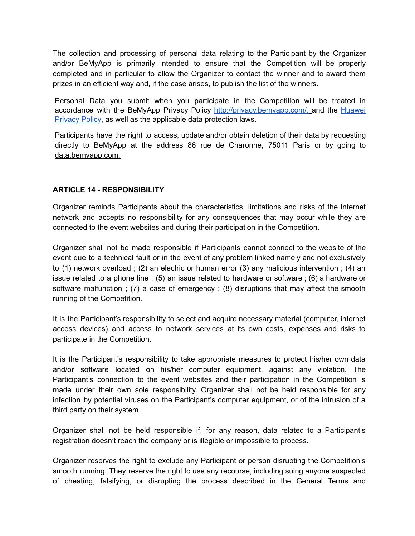The collection and processing of personal data relating to the Participant by the Organizer and/or BeMyApp is primarily intended to ensure that the Competition will be properly completed and in particular to allow the Organizer to contact the winner and to award them prizes in an efficient way and, if the case arises, to publish the list of the winners.

Personal Data you submit when you participate in the Competition will be treated in accordance with the BeMyApp Privacy Policy [http://privacy.bemyapp.com/,](http://privacy.bemyapp.com/) and the [Huawei](https://drive.google.com/file/d/1itcWJ9DtLHb0jJErr1SzwFnitfH3Sud3/view) [Privacy](https://drive.google.com/file/d/1itcWJ9DtLHb0jJErr1SzwFnitfH3Sud3/view) Policy, as well as the applicable data protection laws.

Participants have the right to access, update and/or obtain deletion of their data by requesting directly to BeMyApp at the address 86 rue de Charonne, 75011 Paris or by going to [data.bemyapp.com.](http://data.bemyapp.com.)

#### **ARTICLE 14 - RESPONSIBILITY**

Organizer reminds Participants about the characteristics, limitations and risks of the Internet network and accepts no responsibility for any consequences that may occur while they are connected to the event websites and during their participation in the Competition.

Organizer shall not be made responsible if Participants cannot connect to the website of the event due to a technical fault or in the event of any problem linked namely and not exclusively to (1) network overload ; (2) an electric or human error (3) any malicious intervention ; (4) an issue related to a phone line ; (5) an issue related to hardware or software ; (6) a hardware or software malfunction ; (7) a case of emergency ; (8) disruptions that may affect the smooth running of the Competition.

It is the Participant's responsibility to select and acquire necessary material (computer, internet access devices) and access to network services at its own costs, expenses and risks to participate in the Competition.

It is the Participant's responsibility to take appropriate measures to protect his/her own data and/or software located on his/her computer equipment, against any violation. The Participant's connection to the event websites and their participation in the Competition is made under their own sole responsibility. Organizer shall not be held responsible for any infection by potential viruses on the Participant's computer equipment, or of the intrusion of a third party on their system.

Organizer shall not be held responsible if, for any reason, data related to a Participant's registration doesn't reach the company or is illegible or impossible to process.

Organizer reserves the right to exclude any Participant or person disrupting the Competition's smooth running. They reserve the right to use any recourse, including suing anyone suspected of cheating, falsifying, or disrupting the process described in the General Terms and